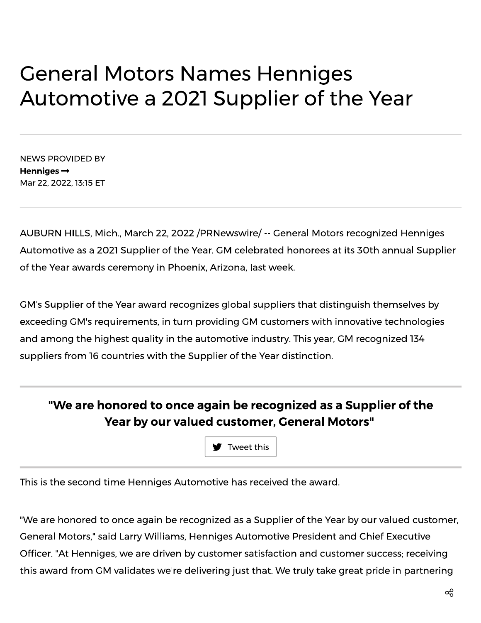## **General Motors Names Henniges** Automotive a 2021 Supplier of the Year

**NEWS PROVIDED BY** Henniges  $\rightarrow$ Mar 22, 2022, 13:15 ET

AUBURN HILLS, Mich., March 22, 2022 /PRNewswire/ -- General Motors recognized Henniges Automotive as a 2021 Supplier of the Year. GM celebrated honorees at its 30th annual Supplier of the Year awards ceremony in Phoenix, Arizona, last week.

GM's Supplier of the Year award recognizes global suppliers that distinguish themselves by exceeding GM's requirements, in turn providing GM customers with innovative technologies and among the highest quality in the automotive industry. This year, GM recognized 134 suppliers from 16 countries with the Supplier of the Year distinction.

## "We are honored to once again be recognized as a Supplier of the Year by our valued customer, General Motors"

Tweet this

This is the second time Henniges Automotive has received the award.

"We are honored to once again be recognized as a Supplier of the Year by our valued customer, General Motors," said Larry Williams, Henniges Automotive President and Chief Executive Officer. "At Henniges, we are driven by customer satisfaction and customer success; receiving this award from GM validates we're delivering just that. We truly take great pride in partnering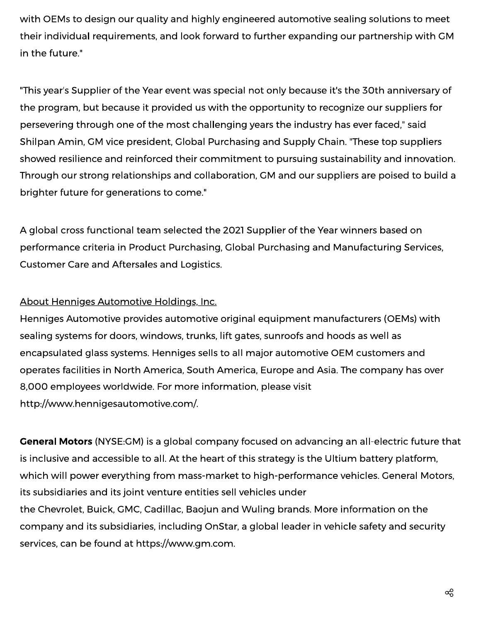with OEMs to design our quality and highly engineered automotive sealing solutions to meet their individual requirements, and look forward to further expanding our partnership with GM in the future."

"This year's Supplier of the Year event was special not only because it's the 30th anniversary of the program, but because it provided us with the opportunity to recognize our suppliers for persevering through one of the most challenging years the industry has ever faced," said Shilpan Amin, GM vice president, Global Purchasing and Supply Chain. "These top suppliers showed resilience and reinforced their commitment to pursuing sustainability and innovation. Through our strong relationships and collaboration, GM and our suppliers are poised to build a brighter future for generations to come."

A global cross functional team selected the 2021 Supplier of the Year winners based on performance criteria in Product Purchasing, Global Purchasing and Manufacturing Services. **Customer Care and Aftersales and Logistics.** 

## About Henniges Automotive Holdings, Inc.

Henniges Automotive provides automotive original equipment manufacturers (OEMs) with sealing systems for doors, windows, trunks, lift gates, sunroofs and hoods as well as encapsulated glass systems. Henniges sells to all major automotive OEM customers and operates facilities in North America, South America, Europe and Asia. The company has over 8,000 employees worldwide. For more information, please visit http://www.hennigesautomotive.com/.

**General Motors** (NYSE:GM) is a global company focused on advancing an all-electric future that is inclusive and accessible to all. At the heart of this strategy is the Ultium battery platform, which will power everything from mass-market to high-performance vehicles. General Motors, its subsidiaries and its joint venture entities sell vehicles under the Chevrolet, Buick, GMC, Cadillac, Baojun and Wuling brands. More information on the company and its subsidiaries, including OnStar, a global leader in vehicle safety and security services, can be found at https://www.gm.com.